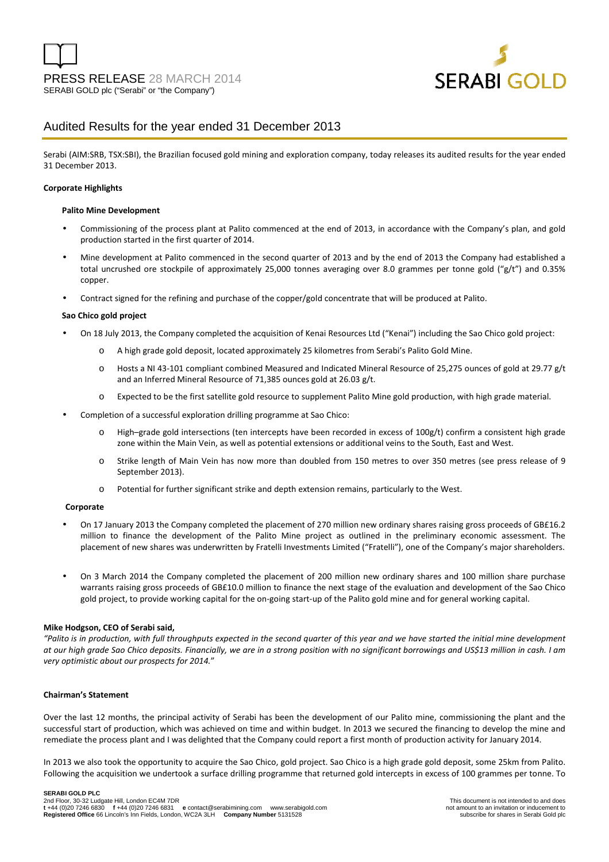

# Audited Results for the year ended 31 December 2013

Serabi (AIM:SRB, TSX:SBI), the Brazilian focused gold mining and exploration company, today releases its audited results for the year ended 31 December 2013.

# **Corporate Highlights**

## **Palito Mine Development**

- Commissioning of the process plant at Palito commenced at the end of 2013, in accordance with the Company's plan, and gold production started in the first quarter of 2014.
- Mine development at Palito commenced in the second quarter of 2013 and by the end of 2013 the Company had established a total uncrushed ore stockpile of approximately 25,000 tonnes averaging over 8.0 grammes per tonne gold ("g/t") and 0.35% copper.
- Contract signed for the refining and purchase of the copper/gold concentrate that will be produced at Palito.

# **Sao Chico gold project**

- On 18 July 2013, the Company completed the acquisition of Kenai Resources Ltd ("Kenai") including the Sao Chico gold project:
	- o A high grade gold deposit, located approximately 25 kilometres from Serabi's Palito Gold Mine.
	- o Hosts a NI 43-101 compliant combined Measured and Indicated Mineral Resource of 25,275 ounces of gold at 29.77 g/t and an Inferred Mineral Resource of 71,385 ounces gold at 26.03 g/t.
	- o Expected to be the first satellite gold resource to supplement Palito Mine gold production, with high grade material.
- Completion of a successful exploration drilling programme at Sao Chico:
	- o High–grade gold intersections (ten intercepts have been recorded in excess of 100g/t) confirm a consistent high grade zone within the Main Vein, as well as potential extensions or additional veins to the South, East and West.
	- o Strike length of Main Vein has now more than doubled from 150 metres to over 350 metres (see press release of 9 September 2013).
	- o Potential for further significant strike and depth extension remains, particularly to the West.

### **Corporate**

- On 17 January 2013 the Company completed the placement of 270 million new ordinary shares raising gross proceeds of GB£16.2 million to finance the development of the Palito Mine project as outlined in the preliminary economic assessment. The placement of new shares was underwritten by Fratelli Investments Limited ("Fratelli"), one of the Company's major shareholders.
- On 3 March 2014 the Company completed the placement of 200 million new ordinary shares and 100 million share purchase warrants raising gross proceeds of GB£10.0 million to finance the next stage of the evaluation and development of the Sao Chico gold project, to provide working capital for the on-going start-up of the Palito gold mine and for general working capital.

### **Mike Hodgson, CEO of Serabi said,**

*"Palito is in production, with full throughputs expected in the second quarter of this year and we have started the initial mine development at our high grade Sao Chico deposits. Financially, we are in a strong position with no significant borrowings and US\$13 million in cash. I am very optimistic about our prospects for 2014.*"

### **Chairman's Statement**

Over the last 12 months, the principal activity of Serabi has been the development of our Palito mine, commissioning the plant and the successful start of production, which was achieved on time and within budget. In 2013 we secured the financing to develop the mine and remediate the process plant and I was delighted that the Company could report a first month of production activity for January 2014.

In 2013 we also took the opportunity to acquire the Sao Chico, gold project. Sao Chico is a high grade gold deposit, some 25km from Palito. Following the acquisition we undertook a surface drilling programme that returned gold intercepts in excess of 100 grammes per tonne. To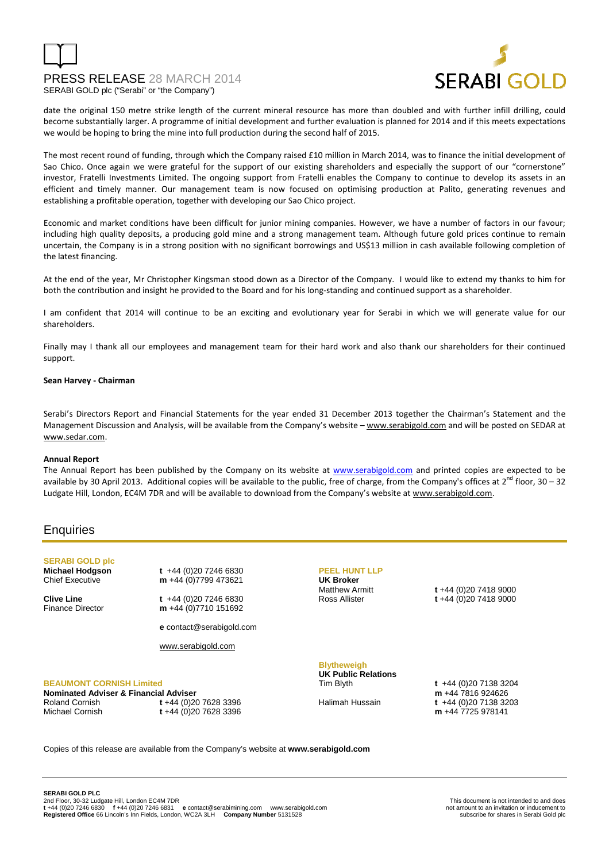# PRESS RELEASE 28 MARCH 2014



SERABI GOLD plc ("Serabi" or "the Company")

date the original 150 metre strike length of the current mineral resource has more than doubled and with further infill drilling, could become substantially larger. A programme of initial development and further evaluation is planned for 2014 and if this meets expectations we would be hoping to bring the mine into full production during the second half of 2015.

The most recent round of funding, through which the Company raised £10 million in March 2014, was to finance the initial development of Sao Chico. Once again we were grateful for the support of our existing shareholders and especially the support of our "cornerstone" investor, Fratelli Investments Limited. The ongoing support from Fratelli enables the Company to continue to develop its assets in an efficient and timely manner. Our management team is now focused on optimising production at Palito, generating revenues and establishing a profitable operation, together with developing our Sao Chico project.

Economic and market conditions have been difficult for junior mining companies. However, we have a number of factors in our favour; including high quality deposits, a producing gold mine and a strong management team. Although future gold prices continue to remain uncertain, the Company is in a strong position with no significant borrowings and US\$13 million in cash available following completion of the latest financing.

At the end of the year, Mr Christopher Kingsman stood down as a Director of the Company. I would like to extend my thanks to him for both the contribution and insight he provided to the Board and for his long-standing and continued support as a shareholder.

I am confident that 2014 will continue to be an exciting and evolutionary year for Serabi in which we will generate value for our shareholders.

Finally may I thank all our employees and management team for their hard work and also thank our shareholders for their continued support.

### **Sean Harvey - Chairman**

Serabi's Directors Report and Financial Statements for the year ended 31 December 2013 together the Chairman's Statement and the Management Discussion and Analysis, will be available from the Company's website – www.serabigold.com and will be posted on SEDAR at www.sedar.com.

#### **Annual Report**

The Annual Report has been published by the Company on its website at www.serabigold.com and printed copies are expected to be available by 30 April 2013. Additional copies will be available to the public, free of charge, from the Company's offices at  $2^{nd}$  floor, 30 – 32 Ludgate Hill, London, EC4M 7DR and will be available to download from the Company's website at www.serabigold.com.

# **Enquiries**

| <b>BEAUMONT CORNISH Limited</b><br>Alexandro de Arte de como Eleccional el Arte de co |                                               | <b>Blytheweigh</b><br><b>UK Public Relations</b><br>Tim Blyth | $t +44(0)2071383204$<br>$\sim$ $\sim$ 44 7040.004000. |
|---------------------------------------------------------------------------------------|-----------------------------------------------|---------------------------------------------------------------|-------------------------------------------------------|
|                                                                                       | www.serabigold.com                            |                                                               |                                                       |
|                                                                                       | e contact@serabigold.com                      |                                                               |                                                       |
| <b>Finance Director</b>                                                               | $m +44(0)7710151692$                          |                                                               |                                                       |
| <b>Clive Line</b>                                                                     | $t +44(0)2072466830$                          | <b>Matthew Armitt</b><br>Ross Allister                        | $t +44$ (0)20 7418 9000<br>$t +44$ (0)20 7418 9000    |
| <b>SERABI GOLD plc</b><br>Michael Hodgson<br><b>Chief Executive</b>                   | $t +44(0)2072466830$<br>$m + 44(0)7799473621$ | <b>PEEL HUNT LLP</b><br><b>UK Broker</b>                      |                                                       |
|                                                                                       |                                               |                                                               |                                                       |

**Nominated Adviser & Financial Adviser** 

Roland Cornish **t** +44 (0)20 7628 3396 Michael Cornish **t** +44 (0)20 7628 3396

Tim Blyth **t** +44 (0)20 7138 3204 **m** +44 7816 924626 Halimah Hussain **t** +44 (0)20 7138 3203 **m** +44 7725 978141

Copies of this release are available from the Company's website at **www.serabigold.com**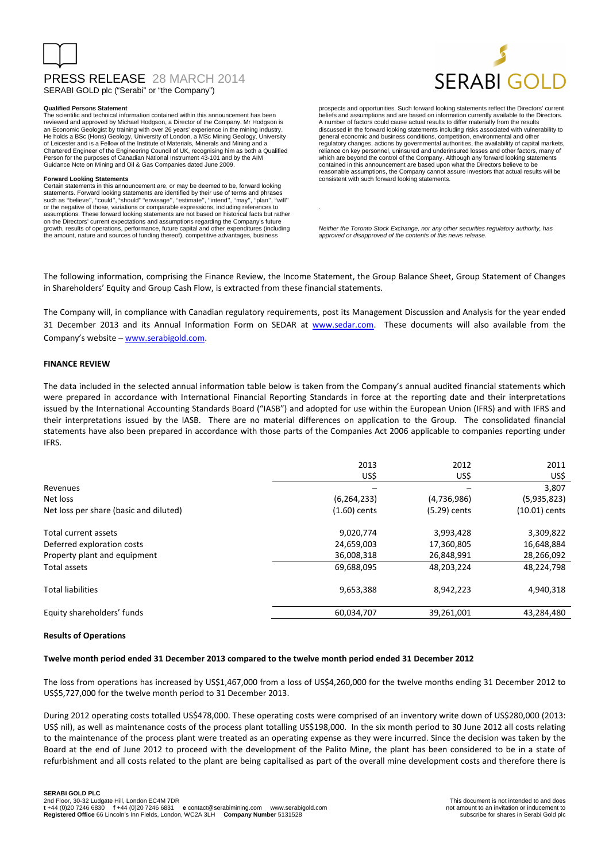#### **Qualified Persons Statement**

The scientific and technical information contained within this announcement has been reviewed and approved by Michael Hodgson, a Director of the Company. Mr Hodgson is an Economic Geologist by training with over 26 years' experience in the mining industry. He holds a BSc (Hons) Geology, University of London, a MSc Mining Geology, University of Leicester and is a Fellow of the Institute of Materials, Minerals and Mining and a Chartered Engineer of the Engineering Council of UK, recognising him as both a Qualified Person for the purposes of Canadian National Instrument 43-101 and by the AIM Guidance Note on Mining and Oil & Gas Companies dated June 2009.

#### **Forward Looking Statements**

Certain statements in this announcement are, or may be deemed to be, forward looking statements. Forward looking statements are identified by their use of terms and phrases such as ''believe'', ''could'', "should" ''envisage'', ''estimate'', ''intend'', ''may'', ''plan'', ''will'' or the negative of those, variations or comparable expressions, including references to assumptions. These forward looking statements are not based on historical facts but rather on the Directors' current expectations and assumptions regarding the Company's future growth, results of operations, performance, future capital and other expenditures (including the amount, nature and sources of funding thereof), competitive advantages, business



prospects and opportunities. Such forward looking statements reflect the Directors' current beliefs and assumptions and are based on information currently available to the Directors. A number of factors could cause actual results to differ materially from the results discussed in the forward looking statements including risks associated with vulnerability to general economic and business conditions, competition, environmental and other regulatory changes, actions by governmental authorities, the availability of capital markets, reliance on key personnel, uninsured and underinsured losses and other factors, many of which are beyond the control of the Company. Although any forward looking statements contained in this announcement are based upon what the Directors believe to be reasonable assumptions, the Company cannot assure investors that actual results will be consistent with such forward looking statements.

Neither the Toronto Stock Exchange, nor any other securities regulatory authority, has approved or disapproved of the contents of this news release.

The following information, comprising the Finance Review, the Income Statement, the Group Balance Sheet, Group Statement of Changes in Shareholders' Equity and Group Cash Flow, is extracted from these financial statements.

.

The Company will, in compliance with Canadian regulatory requirements, post its Management Discussion and Analysis for the year ended 31 December 2013 and its Annual Information Form on SEDAR at www.sedar.com. These documents will also available from the Company's website – www.serabigold.com.

## **FINANCE REVIEW**

The data included in the selected annual information table below is taken from the Company's annual audited financial statements which were prepared in accordance with International Financial Reporting Standards in force at the reporting date and their interpretations issued by the International Accounting Standards Board ("IASB") and adopted for use within the European Union (IFRS) and with IFRS and their interpretations issued by the IASB. There are no material differences on application to the Group. The consolidated financial statements have also been prepared in accordance with those parts of the Companies Act 2006 applicable to companies reporting under IFRS.

|                                        | 2013           | 2012           | 2011            |
|----------------------------------------|----------------|----------------|-----------------|
|                                        | US\$           | US\$           | US\$            |
| Revenues                               |                |                | 3,807           |
| Net loss                               | (6, 264, 233)  | (4,736,986)    | (5,935,823)     |
| Net loss per share (basic and diluted) | $(1.60)$ cents | $(5.29)$ cents | $(10.01)$ cents |
| Total current assets                   | 9,020,774      | 3,993,428      | 3,309,822       |
| Deferred exploration costs             | 24,659,003     | 17,360,805     | 16,648,884      |
| Property plant and equipment           | 36,008,318     | 26,848,991     | 28,266,092      |
| Total assets                           | 69,688,095     | 48,203,224     | 48,224,798      |
| <b>Total liabilities</b>               | 9,653,388      | 8,942,223      | 4,940,318       |
| Equity shareholders' funds             | 60,034,707     | 39,261,001     | 43,284,480      |

# **Results of Operations**

### **Twelve month period ended 31 December 2013 compared to the twelve month period ended 31 December 2012**

The loss from operations has increased by US\$1,467,000 from a loss of US\$4,260,000 for the twelve months ending 31 December 2012 to US\$5,727,000 for the twelve month period to 31 December 2013.

During 2012 operating costs totalled US\$478,000. These operating costs were comprised of an inventory write down of US\$280,000 (2013: US\$ nil), as well as maintenance costs of the process plant totalling US\$198,000. In the six month period to 30 June 2012 all costs relating to the maintenance of the process plant were treated as an operating expense as they were incurred. Since the decision was taken by the Board at the end of June 2012 to proceed with the development of the Palito Mine, the plant has been considered to be in a state of refurbishment and all costs related to the plant are being capitalised as part of the overall mine development costs and therefore there is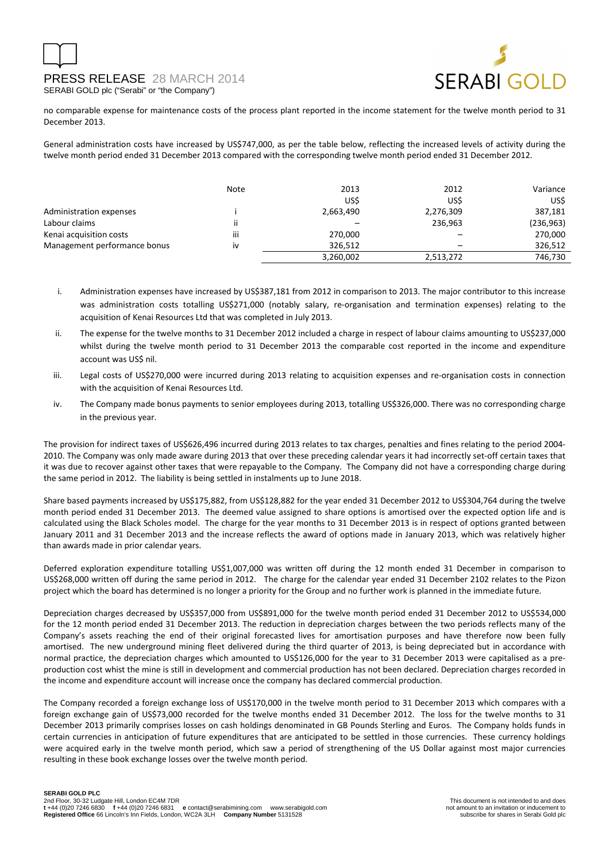

no comparable expense for maintenance costs of the process plant reported in the income statement for the twelve month period to 31 December 2013.

General administration costs have increased by US\$747,000, as per the table below, reflecting the increased levels of activity during the twelve month period ended 31 December 2013 compared with the corresponding twelve month period ended 31 December 2012.

|                              | <b>Note</b> | 2013      | 2012      | Variance   |
|------------------------------|-------------|-----------|-----------|------------|
|                              |             | US\$      | US\$      | US\$       |
| Administration expenses      |             | 2,663,490 | 2,276,309 | 387,181    |
| Labour claims                | ii          |           | 236.963   | (236, 963) |
| Kenai acquisition costs      | iii         | 270,000   |           | 270,000    |
| Management performance bonus | İV          | 326.512   | -         | 326,512    |
|                              |             | 3,260,002 | 2,513,272 | 746,730    |

- i. Administration expenses have increased by US\$387,181 from 2012 in comparison to 2013. The major contributor to this increase was administration costs totalling US\$271,000 (notably salary, re-organisation and termination expenses) relating to the acquisition of Kenai Resources Ltd that was completed in July 2013.
- ii. The expense for the twelve months to 31 December 2012 included a charge in respect of labour claims amounting to US\$237,000 whilst during the twelve month period to 31 December 2013 the comparable cost reported in the income and expenditure account was US\$ nil.
- iii. Legal costs of US\$270,000 were incurred during 2013 relating to acquisition expenses and re-organisation costs in connection with the acquisition of Kenai Resources Ltd.
- iv. The Company made bonus payments to senior employees during 2013, totalling US\$326,000. There was no corresponding charge in the previous year.

The provision for indirect taxes of US\$626,496 incurred during 2013 relates to tax charges, penalties and fines relating to the period 2004- 2010. The Company was only made aware during 2013 that over these preceding calendar years it had incorrectly set-off certain taxes that it was due to recover against other taxes that were repayable to the Company. The Company did not have a corresponding charge during the same period in 2012. The liability is being settled in instalments up to June 2018.

Share based payments increased by US\$175,882, from US\$128,882 for the year ended 31 December 2012 to US\$304,764 during the twelve month period ended 31 December 2013. The deemed value assigned to share options is amortised over the expected option life and is calculated using the Black Scholes model. The charge for the year months to 31 December 2013 is in respect of options granted between January 2011 and 31 December 2013 and the increase reflects the award of options made in January 2013, which was relatively higher than awards made in prior calendar years.

Deferred exploration expenditure totalling US\$1,007,000 was written off during the 12 month ended 31 December in comparison to US\$268,000 written off during the same period in 2012. The charge for the calendar year ended 31 December 2102 relates to the Pizon project which the board has determined is no longer a priority for the Group and no further work is planned in the immediate future.

Depreciation charges decreased by US\$357,000 from US\$891,000 for the twelve month period ended 31 December 2012 to US\$534,000 for the 12 month period ended 31 December 2013. The reduction in depreciation charges between the two periods reflects many of the Company's assets reaching the end of their original forecasted lives for amortisation purposes and have therefore now been fully amortised. The new underground mining fleet delivered during the third quarter of 2013, is being depreciated but in accordance with normal practice, the depreciation charges which amounted to US\$126,000 for the year to 31 December 2013 were capitalised as a preproduction cost whist the mine is still in development and commercial production has not been declared. Depreciation charges recorded in the income and expenditure account will increase once the company has declared commercial production.

The Company recorded a foreign exchange loss of US\$170,000 in the twelve month period to 31 December 2013 which compares with a foreign exchange gain of US\$73,000 recorded for the twelve months ended 31 December 2012. The loss for the twelve months to 31 December 2013 primarily comprises losses on cash holdings denominated in GB Pounds Sterling and Euros. The Company holds funds in certain currencies in anticipation of future expenditures that are anticipated to be settled in those currencies. These currency holdings were acquired early in the twelve month period, which saw a period of strengthening of the US Dollar against most major currencies resulting in these book exchange losses over the twelve month period.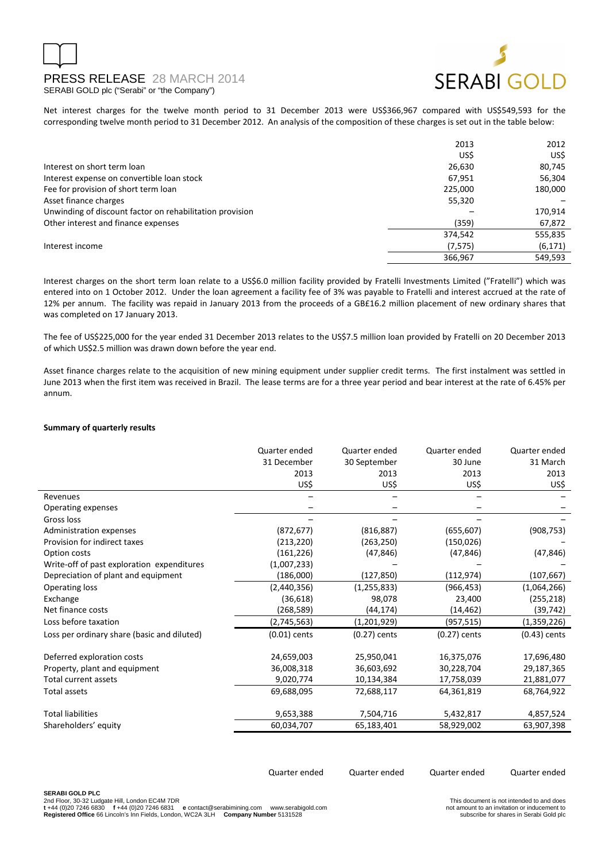

Net interest charges for the twelve month period to 31 December 2013 were US\$366,967 compared with US\$549,593 for the corresponding twelve month period to 31 December 2012. An analysis of the composition of these charges is set out in the table below:

|                                                          | 2013     | 2012     |
|----------------------------------------------------------|----------|----------|
|                                                          | US\$     | US\$     |
| Interest on short term loan                              | 26,630   | 80,745   |
| Interest expense on convertible loan stock               | 67.951   | 56,304   |
| Fee for provision of short term loan                     | 225.000  | 180,000  |
| Asset finance charges                                    | 55,320   |          |
| Unwinding of discount factor on rehabilitation provision |          | 170,914  |
| Other interest and finance expenses                      | (359)    | 67,872   |
|                                                          | 374,542  | 555,835  |
| Interest income                                          | (7, 575) | (6, 171) |
|                                                          | 366.967  | 549.593  |

Interest charges on the short term loan relate to a US\$6.0 million facility provided by Fratelli Investments Limited ("Fratelli") which was entered into on 1 October 2012. Under the loan agreement a facility fee of 3% was payable to Fratelli and interest accrued at the rate of 12% per annum. The facility was repaid in January 2013 from the proceeds of a GB£16.2 million placement of new ordinary shares that was completed on 17 January 2013.

The fee of US\$225,000 for the year ended 31 December 2013 relates to the US\$7.5 million loan provided by Fratelli on 20 December 2013 of which US\$2.5 million was drawn down before the year end.

Asset finance charges relate to the acquisition of new mining equipment under supplier credit terms. The first instalment was settled in June 2013 when the first item was received in Brazil. The lease terms are for a three year period and bear interest at the rate of 6.45% per annum.

### **Summary of quarterly results**

|                                             | Quarter ended  | Quarter ended  | Quarter ended  | Quarter ended  |
|---------------------------------------------|----------------|----------------|----------------|----------------|
|                                             | 31 December    | 30 September   | 30 June        | 31 March       |
|                                             | 2013           | 2013           | 2013           | 2013           |
|                                             | US\$           | US\$           | US\$           | US\$           |
| Revenues                                    |                |                |                |                |
| Operating expenses                          |                |                |                |                |
| Gross loss                                  |                |                |                |                |
| Administration expenses                     | (872, 677)     | (816, 887)     | (655, 607)     | (908, 753)     |
| Provision for indirect taxes                | (213, 220)     | (263, 250)     | (150, 026)     |                |
| Option costs                                | (161,226)      | (47, 846)      | (47, 846)      | (47, 846)      |
| Write-off of past exploration expenditures  | (1,007,233)    |                |                |                |
| Depreciation of plant and equipment         | (186,000)      | (127, 850)     | (112, 974)     | (107, 667)     |
| Operating loss                              | (2,440,356)    | (1, 255, 833)  | (966, 453)     | (1,064,266)    |
| Exchange                                    | (36, 618)      | 98,078         | 23,400         | (255, 218)     |
| Net finance costs                           | (268, 589)     | (44, 174)      | (14, 462)      | (39, 742)      |
| Loss before taxation                        | (2,745,563)    | (1,201,929)    | (957, 515)     | (1,359,226)    |
| Loss per ordinary share (basic and diluted) | $(0.01)$ cents | $(0.27)$ cents | $(0.27)$ cents | $(0.43)$ cents |
| Deferred exploration costs                  | 24,659,003     | 25,950,041     | 16,375,076     | 17,696,480     |
| Property, plant and equipment               | 36,008,318     | 36,603,692     | 30,228,704     | 29,187,365     |
| <b>Total current assets</b>                 | 9,020,774      | 10,134,384     | 17,758,039     | 21,881,077     |
| <b>Total assets</b>                         | 69,688,095     | 72,688,117     | 64,361,819     | 68,764,922     |
| <b>Total liabilities</b>                    | 9,653,388      | 7,504,716      | 5,432,817      | 4,857,524      |
| Shareholders' equity                        | 60,034,707     | 65,183,401     | 58,929,002     | 63,907,398     |

Quarter ended Quarter ended Quarter ended Quarter ended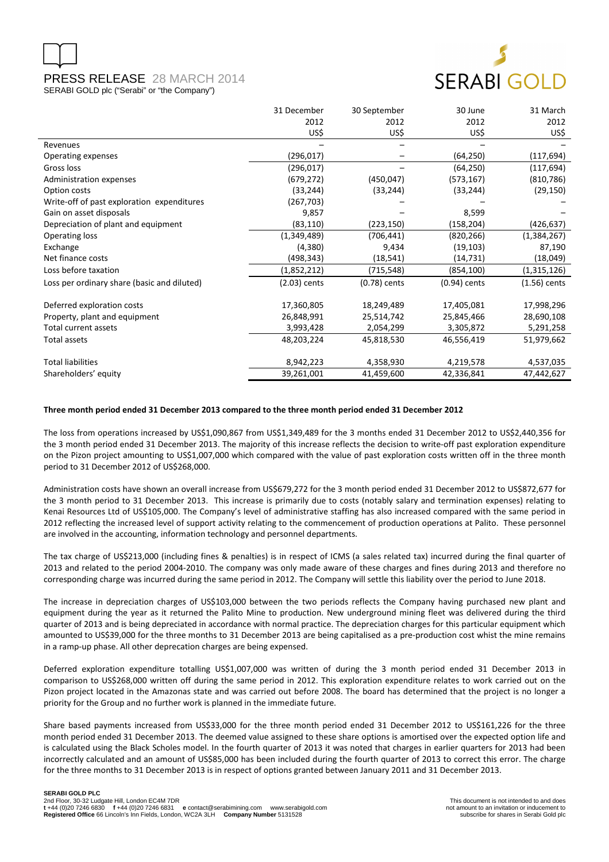

|                                             | 31 December  | 30 September   | 30 June        | 31 March       |
|---------------------------------------------|--------------|----------------|----------------|----------------|
|                                             | 2012         | 2012           | 2012           | 2012           |
|                                             | US\$         | US\$           | US\$           | US\$           |
| Revenues                                    |              |                |                |                |
| Operating expenses                          | (296, 017)   |                | (64, 250)      | (117, 694)     |
| Gross loss                                  | (296, 017)   |                | (64, 250)      | (117, 694)     |
| Administration expenses                     | (679,272)    | (450, 047)     | (573, 167)     | (810, 786)     |
| Option costs                                | (33, 244)    | (33, 244)      | (33, 244)      | (29, 150)      |
| Write-off of past exploration expenditures  | (267, 703)   |                |                |                |
| Gain on asset disposals                     | 9,857        |                | 8,599          |                |
| Depreciation of plant and equipment         | (83, 110)    | (223,150)      | (158, 204)     | (426, 637)     |
| Operating loss                              | (1,349,489)  | (706, 441)     | (820,266)      | (1,384,267)    |
| Exchange                                    | (4,380)      | 9,434          | (19, 103)      | 87,190         |
| Net finance costs                           | (498,343)    | (18, 541)      | (14,731)       | (18,049)       |
| Loss before taxation                        | (1,852,212)  | (715,548)      | (854,100)      | (1,315,126)    |
| Loss per ordinary share (basic and diluted) | (2.03) cents | $(0.78)$ cents | $(0.94)$ cents | $(1.56)$ cents |
| Deferred exploration costs                  | 17,360,805   | 18,249,489     | 17,405,081     | 17,998,296     |
| Property, plant and equipment               | 26,848,991   | 25,514,742     | 25,845,466     | 28,690,108     |
| Total current assets                        | 3,993,428    | 2,054,299      | 3,305,872      | 5,291,258      |
| Total assets                                | 48,203,224   | 45,818,530     | 46,556,419     | 51,979,662     |
| <b>Total liabilities</b>                    | 8,942,223    | 4,358,930      | 4,219,578      | 4,537,035      |
| Shareholders' equity                        | 39,261,001   | 41,459,600     | 42,336,841     | 47,442,627     |

# **Three month period ended 31 December 2013 compared to the three month period ended 31 December 2012**

The loss from operations increased by US\$1,090,867 from US\$1,349,489 for the 3 months ended 31 December 2012 to US\$2,440,356 for the 3 month period ended 31 December 2013. The majority of this increase reflects the decision to write-off past exploration expenditure on the Pizon project amounting to US\$1,007,000 which compared with the value of past exploration costs written off in the three month period to 31 December 2012 of US\$268,000.

Administration costs have shown an overall increase from US\$679,272 for the 3 month period ended 31 December 2012 to US\$872,677 for the 3 month period to 31 December 2013. This increase is primarily due to costs (notably salary and termination expenses) relating to Kenai Resources Ltd of US\$105,000. The Company's level of administrative staffing has also increased compared with the same period in 2012 reflecting the increased level of support activity relating to the commencement of production operations at Palito. These personnel are involved in the accounting, information technology and personnel departments.

The tax charge of US\$213,000 (including fines & penalties) is in respect of ICMS (a sales related tax) incurred during the final quarter of 2013 and related to the period 2004-2010. The company was only made aware of these charges and fines during 2013 and therefore no corresponding charge was incurred during the same period in 2012. The Company will settle this liability over the period to June 2018.

The increase in depreciation charges of US\$103,000 between the two periods reflects the Company having purchased new plant and equipment during the year as it returned the Palito Mine to production. New underground mining fleet was delivered during the third quarter of 2013 and is being depreciated in accordance with normal practice. The depreciation charges for this particular equipment which amounted to US\$39,000 for the three months to 31 December 2013 are being capitalised as a pre-production cost whist the mine remains in a ramp-up phase. All other deprecation charges are being expensed.

Deferred exploration expenditure totalling US\$1,007,000 was written of during the 3 month period ended 31 December 2013 in comparison to US\$268,000 written off during the same period in 2012. This exploration expenditure relates to work carried out on the Pizon project located in the Amazonas state and was carried out before 2008. The board has determined that the project is no longer a priority for the Group and no further work is planned in the immediate future.

Share based payments increased from US\$33,000 for the three month period ended 31 December 2012 to US\$161,226 for the three month period ended 31 December 2013. The deemed value assigned to these share options is amortised over the expected option life and is calculated using the Black Scholes model. In the fourth quarter of 2013 it was noted that charges in earlier quarters for 2013 had been incorrectly calculated and an amount of US\$85,000 has been included during the fourth quarter of 2013 to correct this error. The charge for the three months to 31 December 2013 is in respect of options granted between January 2011 and 31 December 2013.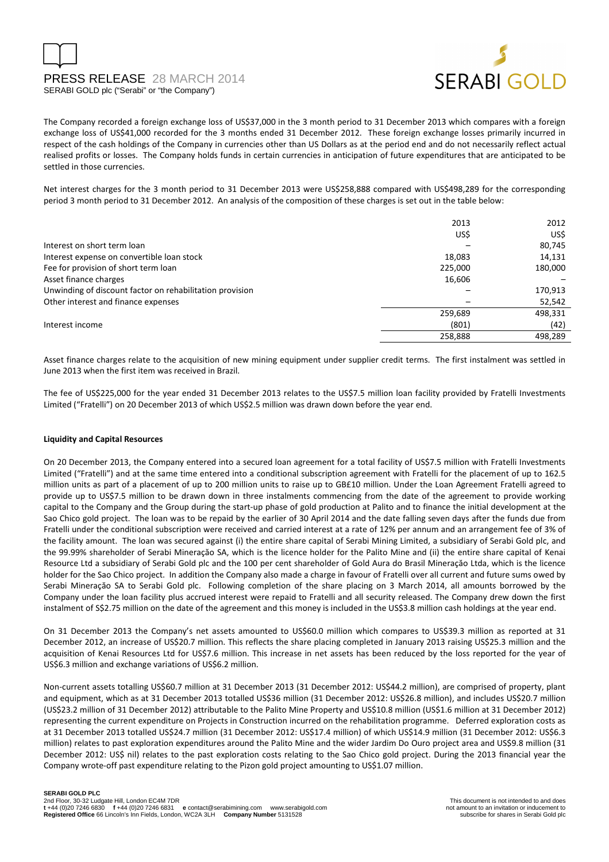

The Company recorded a foreign exchange loss of US\$37,000 in the 3 month period to 31 December 2013 which compares with a foreign exchange loss of US\$41,000 recorded for the 3 months ended 31 December 2012. These foreign exchange losses primarily incurred in respect of the cash holdings of the Company in currencies other than US Dollars as at the period end and do not necessarily reflect actual realised profits or losses. The Company holds funds in certain currencies in anticipation of future expenditures that are anticipated to be settled in those currencies.

Net interest charges for the 3 month period to 31 December 2013 were US\$258,888 compared with US\$498,289 for the corresponding period 3 month period to 31 December 2012. An analysis of the composition of these charges is set out in the table below:

|                                                          | 2013    | 2012    |
|----------------------------------------------------------|---------|---------|
|                                                          | US\$    | US\$    |
| Interest on short term loan                              |         | 80,745  |
| Interest expense on convertible loan stock               | 18,083  | 14,131  |
| Fee for provision of short term loan                     | 225,000 | 180,000 |
| Asset finance charges                                    | 16,606  |         |
| Unwinding of discount factor on rehabilitation provision |         | 170,913 |
| Other interest and finance expenses                      |         | 52,542  |
|                                                          | 259,689 | 498,331 |
| Interest income                                          | (801)   | (42)    |
|                                                          | 258,888 | 498.289 |

Asset finance charges relate to the acquisition of new mining equipment under supplier credit terms. The first instalment was settled in June 2013 when the first item was received in Brazil.

The fee of US\$225,000 for the year ended 31 December 2013 relates to the US\$7.5 million loan facility provided by Fratelli Investments Limited ("Fratelli") on 20 December 2013 of which US\$2.5 million was drawn down before the year end.

# **Liquidity and Capital Resources**

On 20 December 2013, the Company entered into a secured loan agreement for a total facility of US\$7.5 million with Fratelli Investments Limited ("Fratelli") and at the same time entered into a conditional subscription agreement with Fratelli for the placement of up to 162.5 million units as part of a placement of up to 200 million units to raise up to GB£10 million. Under the Loan Agreement Fratelli agreed to provide up to US\$7.5 million to be drawn down in three instalments commencing from the date of the agreement to provide working capital to the Company and the Group during the start-up phase of gold production at Palito and to finance the initial development at the Sao Chico gold project. The loan was to be repaid by the earlier of 30 April 2014 and the date falling seven days after the funds due from Fratelli under the conditional subscription were received and carried interest at a rate of 12% per annum and an arrangement fee of 3% of the facility amount. The loan was secured against (i) the entire share capital of Serabi Mining Limited, a subsidiary of Serabi Gold plc, and the 99.99% shareholder of Serabi Mineraçăo SA, which is the licence holder for the Palito Mine and (ii) the entire share capital of Kenai Resource Ltd a subsidiary of Serabi Gold plc and the 100 per cent shareholder of Gold Aura do Brasil Mineraçăo Ltda, which is the licence holder for the Sao Chico project. In addition the Company also made a charge in favour of Fratelli over all current and future sums owed by Serabi Mineraçăo SA to Serabi Gold plc. Following completion of the share placing on 3 March 2014, all amounts borrowed by the Company under the loan facility plus accrued interest were repaid to Fratelli and all security released. The Company drew down the first instalment of S\$2.75 million on the date of the agreement and this money is included in the US\$3.8 million cash holdings at the year end.

On 31 December 2013 the Company's net assets amounted to US\$60.0 million which compares to US\$39.3 million as reported at 31 December 2012, an increase of US\$20.7 million. This reflects the share placing completed in January 2013 raising US\$25.3 million and the acquisition of Kenai Resources Ltd for US\$7.6 million. This increase in net assets has been reduced by the loss reported for the year of US\$6.3 million and exchange variations of US\$6.2 million.

Non-current assets totalling US\$60.7 million at 31 December 2013 (31 December 2012: US\$44.2 million), are comprised of property, plant and equipment, which as at 31 December 2013 totalled US\$36 million (31 December 2012: US\$26.8 million), and includes US\$20.7 million (US\$23.2 million of 31 December 2012) attributable to the Palito Mine Property and US\$10.8 million (US\$1.6 million at 31 December 2012) representing the current expenditure on Projects in Construction incurred on the rehabilitation programme. Deferred exploration costs as at 31 December 2013 totalled US\$24.7 million (31 December 2012: US\$17.4 million) of which US\$14.9 million (31 December 2012: US\$6.3 million) relates to past exploration expenditures around the Palito Mine and the wider Jardim Do Ouro project area and US\$9.8 million (31 December 2012: US\$ nil) relates to the past exploration costs relating to the Sao Chico gold project. During the 2013 financial year the Company wrote-off past expenditure relating to the Pizon gold project amounting to US\$1.07 million.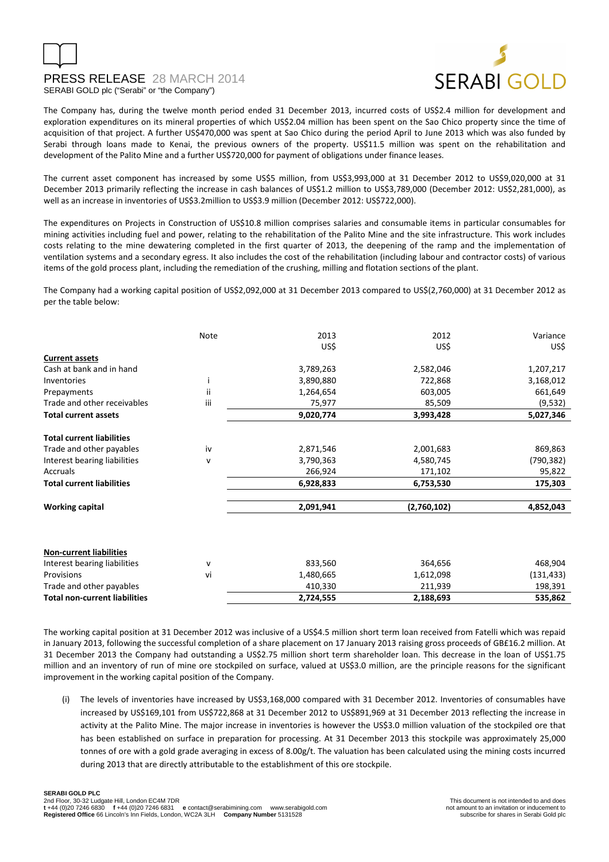

The Company has, during the twelve month period ended 31 December 2013, incurred costs of US\$2.4 million for development and exploration expenditures on its mineral properties of which US\$2.04 million has been spent on the Sao Chico property since the time of acquisition of that project. A further US\$470,000 was spent at Sao Chico during the period April to June 2013 which was also funded by Serabi through loans made to Kenai, the previous owners of the property. US\$11.5 million was spent on the rehabilitation and development of the Palito Mine and a further US\$720,000 for payment of obligations under finance leases.

The current asset component has increased by some US\$5 million, from US\$3,993,000 at 31 December 2012 to US\$9,020,000 at 31 December 2013 primarily reflecting the increase in cash balances of US\$1.2 million to US\$3,789,000 (December 2012: US\$2,281,000), as well as an increase in inventories of US\$3.2million to US\$3.9 million (December 2012: US\$722,000).

The expenditures on Projects in Construction of US\$10.8 million comprises salaries and consumable items in particular consumables for mining activities including fuel and power, relating to the rehabilitation of the Palito Mine and the site infrastructure. This work includes costs relating to the mine dewatering completed in the first quarter of 2013, the deepening of the ramp and the implementation of ventilation systems and a secondary egress. It also includes the cost of the rehabilitation (including labour and contractor costs) of various items of the gold process plant, including the remediation of the crushing, milling and flotation sections of the plant.

The Company had a working capital position of US\$2,092,000 at 31 December 2013 compared to US\$(2,760,000) at 31 December 2012 as per the table below:

| Note | 2013<br>US\$ | 2012<br>US\$                    | Variance<br>US\$                |
|------|--------------|---------------------------------|---------------------------------|
|      |              |                                 |                                 |
|      | 3,789,263    | 2,582,046                       | 1,207,217                       |
|      | 3,890,880    | 722,868                         | 3,168,012                       |
| ii.  | 1,264,654    | 603,005                         | 661,649                         |
| iii  | 75,977       | 85,509                          | (9,532)                         |
|      | 9,020,774    | 3,993,428                       | 5,027,346                       |
|      |              |                                 |                                 |
| iv   | 2,871,546    | 2,001,683                       | 869,863                         |
| v    | 3,790,363    | 4,580,745                       | (790, 382)                      |
|      | 266,924      | 171,102                         | 95,822                          |
|      | 6,928,833    | 6,753,530                       | 175,303                         |
|      | 2,091,941    | (2,760,102)                     | 4,852,043                       |
|      |              |                                 |                                 |
|      |              |                                 | 468,904                         |
|      |              |                                 |                                 |
|      |              |                                 | (131, 433)                      |
|      | 2,724,555    | 2,188,693                       | 198,391<br>535,862              |
|      | v<br>vi      | 833,560<br>1,480,665<br>410,330 | 364,656<br>1,612,098<br>211,939 |

The working capital position at 31 December 2012 was inclusive of a US\$4.5 million short term loan received from Fatelli which was repaid in January 2013, following the successful completion of a share placement on 17 January 2013 raising gross proceeds of GB£16.2 million. At 31 December 2013 the Company had outstanding a US\$2.75 million short term shareholder loan. This decrease in the loan of US\$1.75 million and an inventory of run of mine ore stockpiled on surface, valued at US\$3.0 million, are the principle reasons for the significant improvement in the working capital position of the Company.

(i) The levels of inventories have increased by US\$3,168,000 compared with 31 December 2012. Inventories of consumables have increased by US\$169,101 from US\$722,868 at 31 December 2012 to US\$891,969 at 31 December 2013 reflecting the increase in activity at the Palito Mine. The major increase in inventories is however the US\$3.0 million valuation of the stockpiled ore that has been established on surface in preparation for processing. At 31 December 2013 this stockpile was approximately 25,000 tonnes of ore with a gold grade averaging in excess of 8.00g/t. The valuation has been calculated using the mining costs incurred during 2013 that are directly attributable to the establishment of this ore stockpile.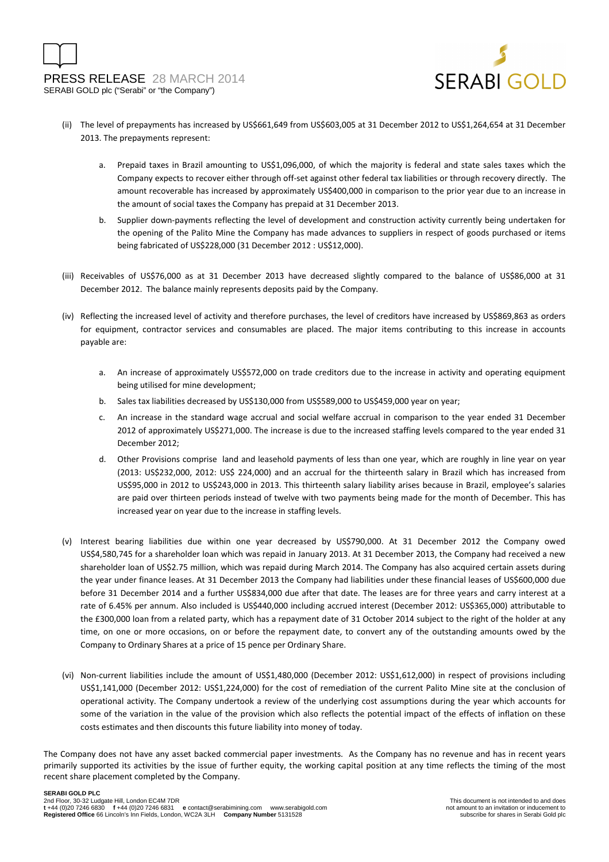

- (ii) The level of prepayments has increased by US\$661,649 from US\$603,005 at 31 December 2012 to US\$1,264,654 at 31 December 2013. The prepayments represent:
	- a. Prepaid taxes in Brazil amounting to US\$1,096,000, of which the majority is federal and state sales taxes which the Company expects to recover either through off-set against other federal tax liabilities or through recovery directly. The amount recoverable has increased by approximately US\$400,000 in comparison to the prior year due to an increase in the amount of social taxes the Company has prepaid at 31 December 2013.
	- b. Supplier down-payments reflecting the level of development and construction activity currently being undertaken for the opening of the Palito Mine the Company has made advances to suppliers in respect of goods purchased or items being fabricated of US\$228,000 (31 December 2012 : US\$12,000).
- (iii) Receivables of US\$76,000 as at 31 December 2013 have decreased slightly compared to the balance of US\$86,000 at 31 December 2012. The balance mainly represents deposits paid by the Company.
- (iv) Reflecting the increased level of activity and therefore purchases, the level of creditors have increased by US\$869,863 as orders for equipment, contractor services and consumables are placed. The major items contributing to this increase in accounts payable are:
	- a. An increase of approximately US\$572,000 on trade creditors due to the increase in activity and operating equipment being utilised for mine development;
	- b. Sales tax liabilities decreased by US\$130,000 from US\$589,000 to US\$459,000 year on year;
	- c. An increase in the standard wage accrual and social welfare accrual in comparison to the year ended 31 December 2012 of approximately US\$271,000. The increase is due to the increased staffing levels compared to the year ended 31 December 2012;
	- d. Other Provisions comprise land and leasehold payments of less than one year, which are roughly in line year on year (2013: US\$232,000, 2012: US\$ 224,000) and an accrual for the thirteenth salary in Brazil which has increased from US\$95,000 in 2012 to US\$243,000 in 2013. This thirteenth salary liability arises because in Brazil, employee's salaries are paid over thirteen periods instead of twelve with two payments being made for the month of December. This has increased year on year due to the increase in staffing levels.
- (v) Interest bearing liabilities due within one year decreased by US\$790,000. At 31 December 2012 the Company owed US\$4,580,745 for a shareholder loan which was repaid in January 2013. At 31 December 2013, the Company had received a new shareholder loan of US\$2.75 million, which was repaid during March 2014. The Company has also acquired certain assets during the year under finance leases. At 31 December 2013 the Company had liabilities under these financial leases of US\$600,000 due before 31 December 2014 and a further US\$834,000 due after that date. The leases are for three years and carry interest at a rate of 6.45% per annum. Also included is US\$440,000 including accrued interest (December 2012: US\$365,000) attributable to the £300,000 loan from a related party, which has a repayment date of 31 October 2014 subject to the right of the holder at any time, on one or more occasions, on or before the repayment date, to convert any of the outstanding amounts owed by the Company to Ordinary Shares at a price of 15 pence per Ordinary Share.
- (vi) Non-current liabilities include the amount of US\$1,480,000 (December 2012: US\$1,612,000) in respect of provisions including US\$1,141,000 (December 2012: US\$1,224,000) for the cost of remediation of the current Palito Mine site at the conclusion of operational activity. The Company undertook a review of the underlying cost assumptions during the year which accounts for some of the variation in the value of the provision which also reflects the potential impact of the effects of inflation on these costs estimates and then discounts this future liability into money of today.

The Company does not have any asset backed commercial paper investments. As the Company has no revenue and has in recent years primarily supported its activities by the issue of further equity, the working capital position at any time reflects the timing of the most recent share placement completed by the Company.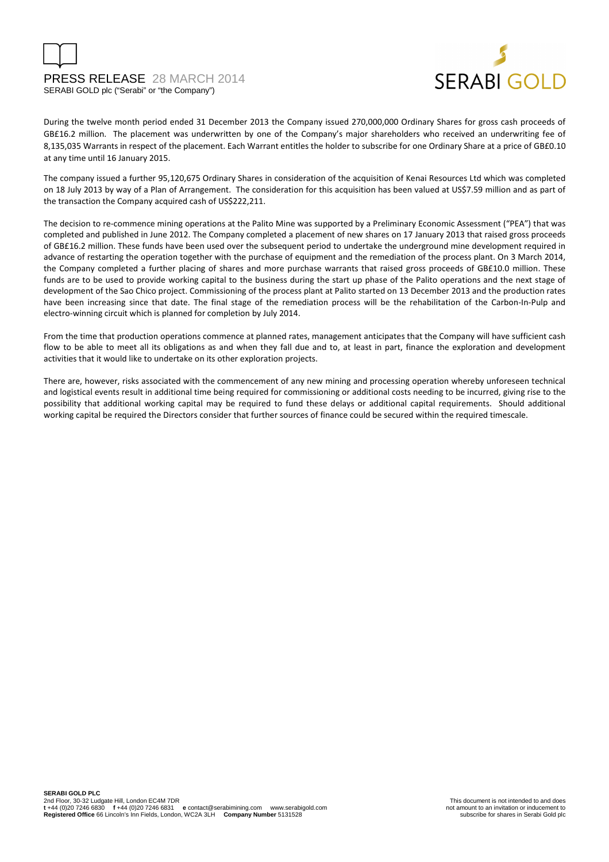



During the twelve month period ended 31 December 2013 the Company issued 270,000,000 Ordinary Shares for gross cash proceeds of GB£16.2 million. The placement was underwritten by one of the Company's major shareholders who received an underwriting fee of 8,135,035 Warrants in respect of the placement. Each Warrant entitles the holder to subscribe for one Ordinary Share at a price of GB£0.10 at any time until 16 January 2015.

The company issued a further 95,120,675 Ordinary Shares in consideration of the acquisition of Kenai Resources Ltd which was completed on 18 July 2013 by way of a Plan of Arrangement. The consideration for this acquisition has been valued at US\$7.59 million and as part of the transaction the Company acquired cash of US\$222,211.

The decision to re-commence mining operations at the Palito Mine was supported by a Preliminary Economic Assessment ("PEA") that was completed and published in June 2012. The Company completed a placement of new shares on 17 January 2013 that raised gross proceeds of GB£16.2 million. These funds have been used over the subsequent period to undertake the underground mine development required in advance of restarting the operation together with the purchase of equipment and the remediation of the process plant. On 3 March 2014, the Company completed a further placing of shares and more purchase warrants that raised gross proceeds of GB£10.0 million. These funds are to be used to provide working capital to the business during the start up phase of the Palito operations and the next stage of development of the Sao Chico project. Commissioning of the process plant at Palito started on 13 December 2013 and the production rates have been increasing since that date. The final stage of the remediation process will be the rehabilitation of the Carbon-In-Pulp and electro-winning circuit which is planned for completion by July 2014.

From the time that production operations commence at planned rates, management anticipates that the Company will have sufficient cash flow to be able to meet all its obligations as and when they fall due and to, at least in part, finance the exploration and development activities that it would like to undertake on its other exploration projects.

There are, however, risks associated with the commencement of any new mining and processing operation whereby unforeseen technical and logistical events result in additional time being required for commissioning or additional costs needing to be incurred, giving rise to the possibility that additional working capital may be required to fund these delays or additional capital requirements. Should additional working capital be required the Directors consider that further sources of finance could be secured within the required timescale.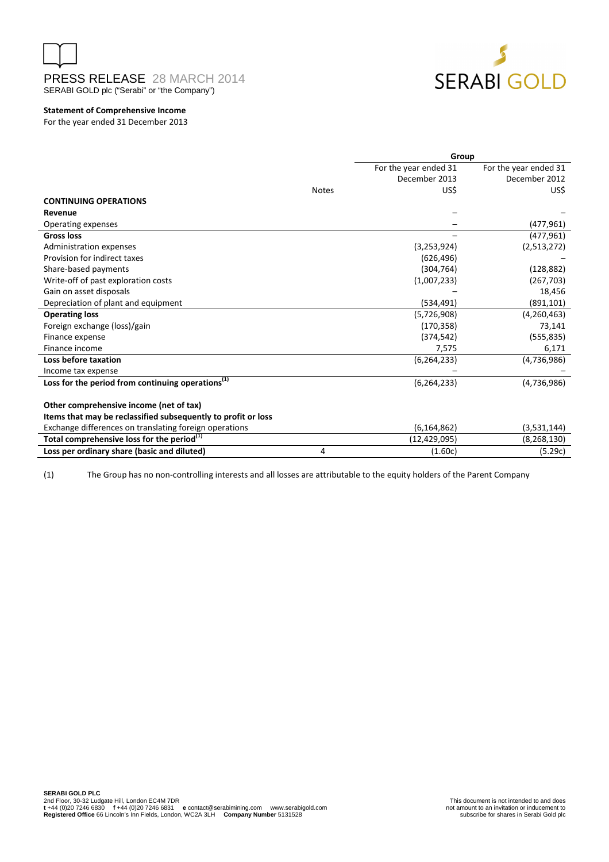



# **Statement of Comprehensive Income**

For the year ended 31 December 2013

|                                                               |              | Group                 |                       |  |
|---------------------------------------------------------------|--------------|-----------------------|-----------------------|--|
|                                                               |              | For the year ended 31 | For the year ended 31 |  |
|                                                               |              | December 2013         | December 2012         |  |
|                                                               | <b>Notes</b> | US\$                  | US\$                  |  |
| <b>CONTINUING OPERATIONS</b>                                  |              |                       |                       |  |
| Revenue                                                       |              |                       |                       |  |
| Operating expenses                                            |              |                       | (477,961)             |  |
| <b>Gross loss</b>                                             |              |                       | (477, 961)            |  |
| Administration expenses                                       |              | (3,253,924)           | (2,513,272)           |  |
| Provision for indirect taxes                                  |              | (626, 496)            |                       |  |
| Share-based payments                                          |              | (304, 764)            | (128, 882)            |  |
| Write-off of past exploration costs                           |              | (1,007,233)           | (267, 703)            |  |
| Gain on asset disposals                                       |              |                       | 18,456                |  |
| Depreciation of plant and equipment                           |              | (534, 491)            | (891, 101)            |  |
| <b>Operating loss</b>                                         |              | (5,726,908)           | (4,260,463)           |  |
| Foreign exchange (loss)/gain                                  |              | (170, 358)            | 73,141                |  |
| Finance expense                                               |              | (374, 542)            | (555, 835)            |  |
| Finance income                                                |              | 7,575                 | 6,171                 |  |
| Loss before taxation                                          |              | (6, 264, 233)         | (4,736,986)           |  |
| Income tax expense                                            |              |                       |                       |  |
| Loss for the period from continuing operations <sup>(1)</sup> |              | (6, 264, 233)         | (4,736,986)           |  |
| Other comprehensive income (net of tax)                       |              |                       |                       |  |
| Items that may be reclassified subsequently to profit or loss |              |                       |                       |  |
| Exchange differences on translating foreign operations        |              | (6, 164, 862)         | (3,531,144)           |  |
| Total comprehensive loss for the period <sup>(1)</sup>        |              | (12, 429, 095)        | (8, 268, 130)         |  |
| Loss per ordinary share (basic and diluted)                   | 4            | (1.60c)               | (5.29c)               |  |

(1) The Group has no non-controlling interests and all losses are attributable to the equity holders of the Parent Company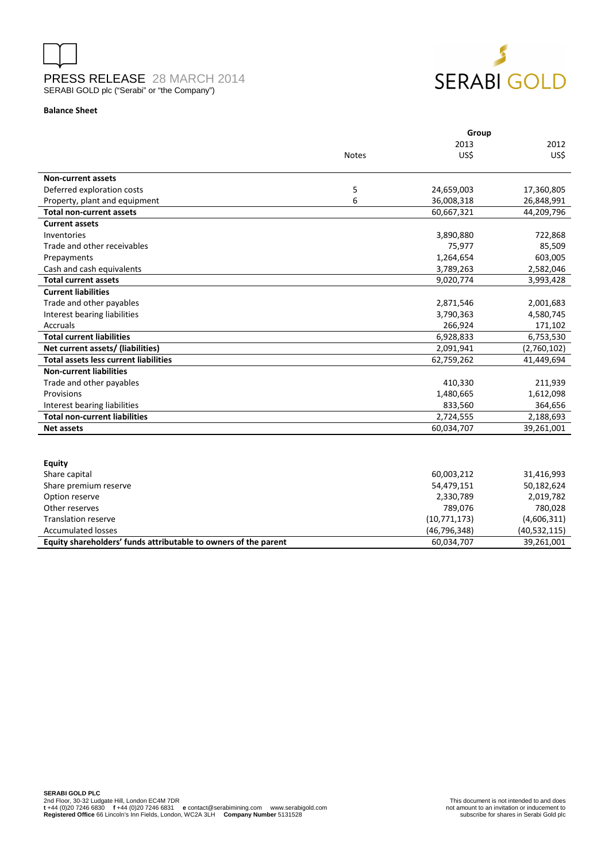

# **Balance Sheet**

|                                                                 |              | Group          |                |  |  |
|-----------------------------------------------------------------|--------------|----------------|----------------|--|--|
|                                                                 |              | 2013           | 2012           |  |  |
|                                                                 | <b>Notes</b> | US\$           | US\$           |  |  |
| <b>Non-current assets</b>                                       |              |                |                |  |  |
| Deferred exploration costs                                      | 5            | 24,659,003     | 17,360,805     |  |  |
| Property, plant and equipment                                   | 6            | 36,008,318     | 26,848,991     |  |  |
| <b>Total non-current assets</b>                                 |              | 60,667,321     | 44,209,796     |  |  |
| <b>Current assets</b>                                           |              |                |                |  |  |
| Inventories                                                     |              | 3,890,880      | 722,868        |  |  |
| Trade and other receivables                                     |              | 75,977         | 85,509         |  |  |
| Prepayments                                                     |              | 1,264,654      | 603,005        |  |  |
| Cash and cash equivalents                                       |              | 3,789,263      | 2,582,046      |  |  |
| <b>Total current assets</b>                                     |              | 9,020,774      | 3,993,428      |  |  |
| <b>Current liabilities</b>                                      |              |                |                |  |  |
| Trade and other payables                                        |              | 2,871,546      | 2,001,683      |  |  |
| Interest bearing liabilities                                    |              | 3,790,363      | 4,580,745      |  |  |
| <b>Accruals</b>                                                 |              | 266,924        | 171,102        |  |  |
| <b>Total current liabilities</b>                                |              | 6,928,833      | 6,753,530      |  |  |
| Net current assets/ (liabilities)                               |              | 2,091,941      | (2,760,102)    |  |  |
| <b>Total assets less current liabilities</b>                    |              | 62,759,262     | 41,449,694     |  |  |
| <b>Non-current liabilities</b>                                  |              |                |                |  |  |
| Trade and other payables                                        |              | 410,330        | 211,939        |  |  |
| Provisions                                                      |              | 1,480,665      | 1,612,098      |  |  |
| Interest bearing liabilities                                    |              | 833,560        | 364,656        |  |  |
| <b>Total non-current liabilities</b>                            |              | 2,724,555      | 2,188,693      |  |  |
| <b>Net assets</b>                                               |              | 60,034,707     | 39,261,001     |  |  |
|                                                                 |              |                |                |  |  |
|                                                                 |              |                |                |  |  |
| <b>Equity</b>                                                   |              |                |                |  |  |
| Share capital                                                   |              | 60,003,212     | 31,416,993     |  |  |
| Share premium reserve                                           |              | 54,479,151     | 50,182,624     |  |  |
| Option reserve                                                  |              | 2,330,789      | 2,019,782      |  |  |
| Other reserves                                                  |              | 789,076        | 780,028        |  |  |
| <b>Translation reserve</b>                                      |              | (10, 771, 173) | (4,606,311)    |  |  |
| <b>Accumulated losses</b>                                       |              | (46, 796, 348) | (40, 532, 115) |  |  |
| Equity shareholders' funds attributable to owners of the parent |              | 60,034,707     | 39,261,001     |  |  |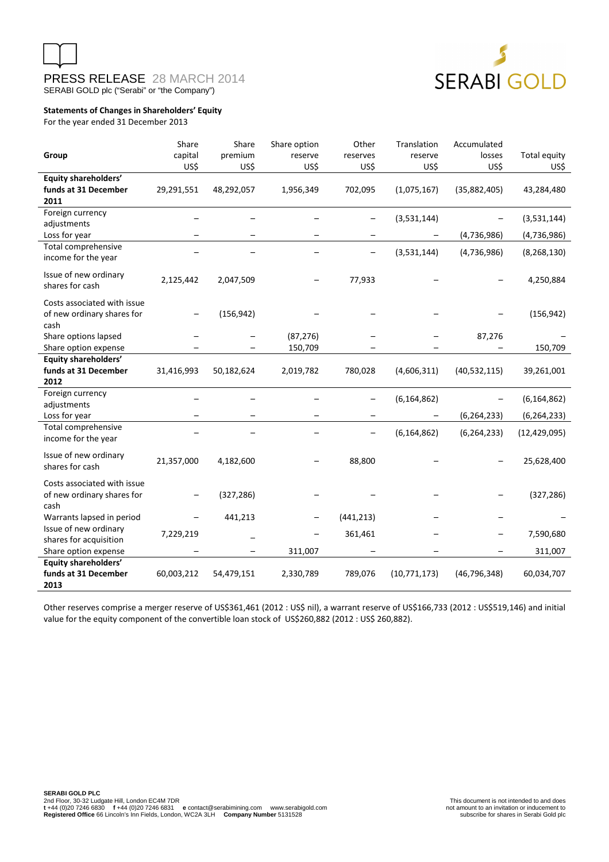

# **Statements of Changes in Shareholders' Equity**

For the year ended 31 December 2013

|                             | Share      | Share      | Share option | Other      | Translation    | Accumulated    |                     |
|-----------------------------|------------|------------|--------------|------------|----------------|----------------|---------------------|
| Group                       | capital    | premium    | reserve      | reserves   | reserve        | losses         | <b>Total equity</b> |
|                             | US\$       | US\$       | US\$         | US\$       | US\$           | US\$           | US\$                |
| Equity shareholders'        |            |            |              |            |                |                |                     |
| funds at 31 December        | 29,291,551 | 48,292,057 | 1,956,349    | 702,095    | (1,075,167)    | (35,882,405)   | 43,284,480          |
| 2011                        |            |            |              |            |                |                |                     |
| Foreign currency            |            |            |              |            | (3,531,144)    |                | (3,531,144)         |
| adjustments                 |            |            |              |            |                |                |                     |
| Loss for year               |            |            |              |            |                | (4,736,986)    | (4,736,986)         |
| Total comprehensive         |            |            |              |            | (3,531,144)    | (4,736,986)    | (8, 268, 130)       |
| income for the year         |            |            |              |            |                |                |                     |
| Issue of new ordinary       | 2,125,442  | 2,047,509  |              | 77,933     |                |                | 4,250,884           |
| shares for cash             |            |            |              |            |                |                |                     |
| Costs associated with issue |            |            |              |            |                |                |                     |
| of new ordinary shares for  |            | (156, 942) |              |            |                |                | (156, 942)          |
| cash                        |            |            |              |            |                |                |                     |
| Share options lapsed        |            |            | (87, 276)    |            |                | 87,276         |                     |
| Share option expense        |            |            | 150,709      |            |                |                | 150,709             |
| Equity shareholders'        |            |            |              |            |                |                |                     |
| funds at 31 December        | 31,416,993 | 50,182,624 | 2,019,782    | 780,028    | (4,606,311)    | (40, 532, 115) | 39,261,001          |
| 2012                        |            |            |              |            |                |                |                     |
| Foreign currency            |            |            |              |            | (6, 164, 862)  |                | (6, 164, 862)       |
| adjustments                 |            |            |              |            |                |                |                     |
| Loss for year               |            |            |              |            |                | (6, 264, 233)  | (6, 264, 233)       |
| Total comprehensive         |            |            |              |            | (6, 164, 862)  | (6, 264, 233)  | (12, 429, 095)      |
| income for the year         |            |            |              |            |                |                |                     |
| Issue of new ordinary       | 21,357,000 | 4,182,600  |              | 88,800     |                |                | 25,628,400          |
| shares for cash             |            |            |              |            |                |                |                     |
| Costs associated with issue |            |            |              |            |                |                |                     |
| of new ordinary shares for  |            | (327, 286) |              |            |                |                | (327, 286)          |
| cash                        |            |            |              |            |                |                |                     |
| Warrants lapsed in period   |            | 441,213    |              | (441, 213) |                |                |                     |
| Issue of new ordinary       |            |            |              |            |                |                |                     |
| shares for acquisition      | 7,229,219  |            |              | 361,461    |                |                | 7,590,680           |
| Share option expense        |            |            | 311,007      |            |                |                | 311,007             |
| Equity shareholders'        |            |            |              |            |                |                |                     |
| funds at 31 December        | 60,003,212 | 54,479,151 | 2,330,789    | 789,076    | (10, 771, 173) | (46, 796, 348) | 60,034,707          |
| 2013                        |            |            |              |            |                |                |                     |

Other reserves comprise a merger reserve of US\$361,461 (2012 : US\$ nil), a warrant reserve of US\$166,733 (2012 : US\$519,146) and initial value for the equity component of the convertible loan stock of US\$260,882 (2012 : US\$ 260,882).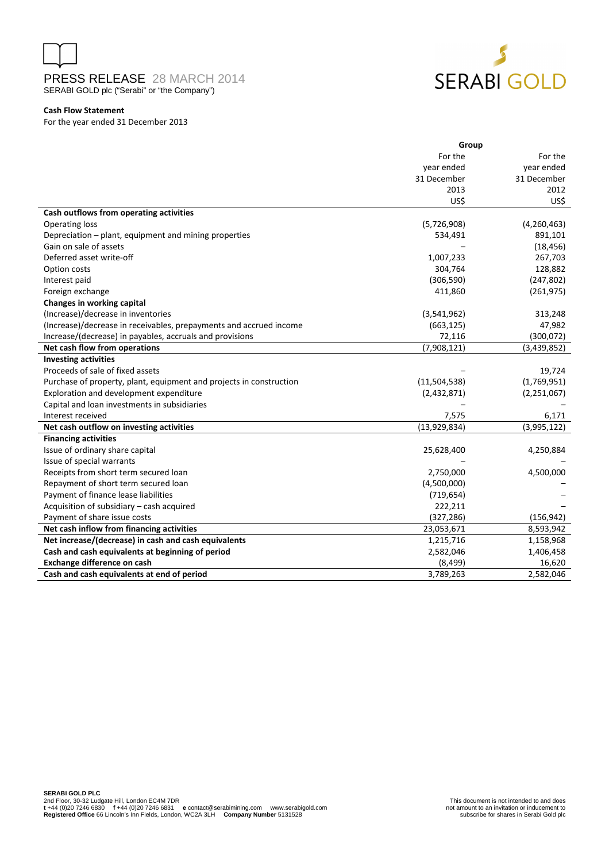



# **Cash Flow Statement**

For the year ended 31 December 2013

|                                                                     | Group        |               |  |
|---------------------------------------------------------------------|--------------|---------------|--|
|                                                                     | For the      | For the       |  |
|                                                                     | year ended   | year ended    |  |
|                                                                     | 31 December  | 31 December   |  |
|                                                                     | 2013         | 2012          |  |
|                                                                     | US\$         | US\$          |  |
| Cash outflows from operating activities                             |              |               |  |
| <b>Operating loss</b>                                               | (5,726,908)  | (4,260,463)   |  |
| Depreciation – plant, equipment and mining properties               | 534,491      | 891,101       |  |
| Gain on sale of assets                                              |              | (18, 456)     |  |
| Deferred asset write-off                                            | 1,007,233    | 267,703       |  |
| Option costs                                                        | 304,764      | 128,882       |  |
| Interest paid                                                       | (306, 590)   | (247, 802)    |  |
| Foreign exchange                                                    | 411,860      | (261, 975)    |  |
| Changes in working capital                                          |              |               |  |
| (Increase)/decrease in inventories                                  | (3,541,962)  | 313,248       |  |
| (Increase)/decrease in receivables, prepayments and accrued income  | (663, 125)   | 47,982        |  |
| Increase/(decrease) in payables, accruals and provisions            | 72,116       | (300,072)     |  |
| Net cash flow from operations                                       | (7,908,121)  | (3,439,852)   |  |
| <b>Investing activities</b>                                         |              |               |  |
| Proceeds of sale of fixed assets                                    |              | 19,724        |  |
| Purchase of property, plant, equipment and projects in construction | (11,504,538) | (1,769,951)   |  |
| Exploration and development expenditure                             | (2,432,871)  | (2, 251, 067) |  |
| Capital and loan investments in subsidiaries                        |              |               |  |
| Interest received                                                   | 7,575        | 6,171         |  |
| Net cash outflow on investing activities                            | (13,929,834) | (3,995,122)   |  |
| <b>Financing activities</b>                                         |              |               |  |
| Issue of ordinary share capital                                     | 25,628,400   | 4,250,884     |  |
| Issue of special warrants                                           |              |               |  |
| Receipts from short term secured loan                               | 2,750,000    | 4,500,000     |  |
| Repayment of short term secured loan                                | (4,500,000)  |               |  |
| Payment of finance lease liabilities                                | (719, 654)   |               |  |
| Acquisition of subsidiary - cash acquired                           | 222,211      |               |  |
| Payment of share issue costs                                        | (327, 286)   | (156, 942)    |  |
| Net cash inflow from financing activities                           | 23,053,671   | 8,593,942     |  |
| Net increase/(decrease) in cash and cash equivalents                | 1,215,716    | 1,158,968     |  |
| Cash and cash equivalents at beginning of period                    | 2,582,046    | 1,406,458     |  |
| Exchange difference on cash                                         | (8, 499)     | 16,620        |  |
| Cash and cash equivalents at end of period                          | 3,789,263    | 2,582,046     |  |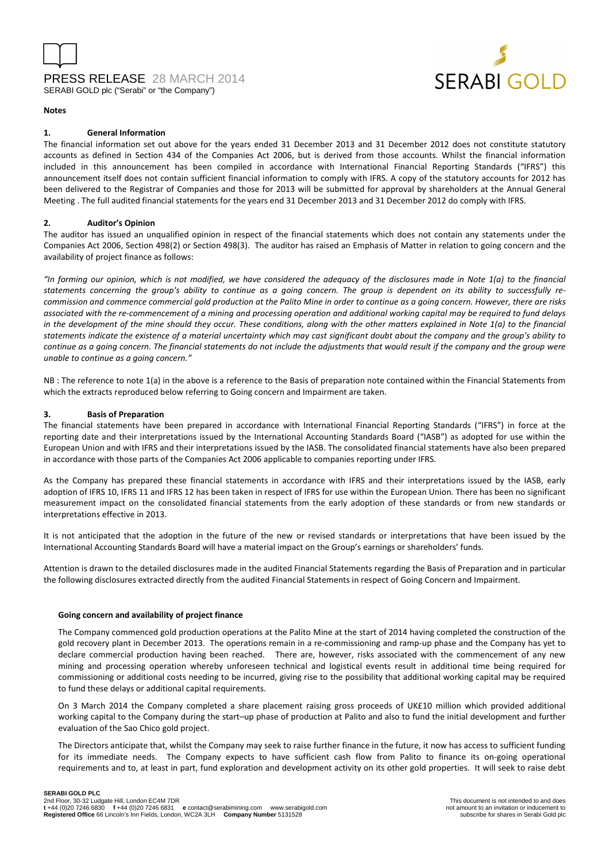



# **Notes**

# **1. General Information**

The financial information set out above for the years ended 31 December 2013 and 31 December 2012 does not constitute statutory accounts as defined in Section 434 of the Companies Act 2006, but is derived from those accounts. Whilst the financial information included in this announcement has been compiled in accordance with International Financial Reporting Standards ("IFRS") this announcement itself does not contain sufficient financial information to comply with IFRS. A copy of the statutory accounts for 2012 has been delivered to the Registrar of Companies and those for 2013 will be submitted for approval by shareholders at the Annual General Meeting . The full audited financial statements for the years end 31 December 2013 and 31 December 2012 do comply with IFRS.

# **2. Auditor's Opinion**

The auditor has issued an unqualified opinion in respect of the financial statements which does not contain any statements under the Companies Act 2006, Section 498(2) or Section 498(3). The auditor has raised an Emphasis of Matter in relation to going concern and the availability of project finance as follows:

*"In forming our opinion, which is not modified, we have considered the adequacy of the disclosures made in Note 1(a) to the financial statements concerning the group's ability to continue as a going concern. The group is dependent on its ability to successfully recommission and commence commercial gold production at the Palito Mine in order to continue as a going concern. However, there are risks associated with the re-commencement of a mining and processing operation and additional working capital may be required to fund delays in the development of the mine should they occur. These conditions, along with the other matters explained in Note 1(a) to the financial statements indicate the existence of a material uncertainty which may cast significant doubt about the company and the group's ability to continue as a going concern. The financial statements do not include the adjustments that would result if the company and the group were unable to continue as a going concern."*

NB : The reference to note 1(a) in the above is a reference to the Basis of preparation note contained within the Financial Statements from which the extracts reproduced below referring to Going concern and Impairment are taken.

### **3. Basis of Preparation**

The financial statements have been prepared in accordance with International Financial Reporting Standards ("IFRS") in force at the reporting date and their interpretations issued by the International Accounting Standards Board ("IASB") as adopted for use within the European Union and with IFRS and their interpretations issued by the IASB. The consolidated financial statements have also been prepared in accordance with those parts of the Companies Act 2006 applicable to companies reporting under IFRS.

As the Company has prepared these financial statements in accordance with IFRS and their interpretations issued by the IASB, early adoption of IFRS 10, IFRS 11 and IFRS 12 has been taken in respect of IFRS for use within the European Union. There has been no significant measurement impact on the consolidated financial statements from the early adoption of these standards or from new standards or interpretations effective in 2013.

It is not anticipated that the adoption in the future of the new or revised standards or interpretations that have been issued by the International Accounting Standards Board will have a material impact on the Group's earnings or shareholders' funds.

Attention is drawn to the detailed disclosures made in the audited Financial Statements regarding the Basis of Preparation and in particular the following disclosures extracted directly from the audited Financial Statements in respect of Going Concern and Impairment.

### **Going concern and availability of project finance**

The Company commenced gold production operations at the Palito Mine at the start of 2014 having completed the construction of the gold recovery plant in December 2013. The operations remain in a re-commissioning and ramp-up phase and the Company has yet to declare commercial production having been reached. There are, however, risks associated with the commencement of any new mining and processing operation whereby unforeseen technical and logistical events result in additional time being required for commissioning or additional costs needing to be incurred, giving rise to the possibility that additional working capital may be required to fund these delays or additional capital requirements.

On 3 March 2014 the Company completed a share placement raising gross proceeds of UK£10 million which provided additional working capital to the Company during the start–up phase of production at Palito and also to fund the initial development and further evaluation of the Sao Chico gold project.

The Directors anticipate that, whilst the Company may seek to raise further finance in the future, it now has access to sufficient funding for its immediate needs. The Company expects to have sufficient cash flow from Palito to finance its on-going operational requirements and to, at least in part, fund exploration and development activity on its other gold properties. It will seek to raise debt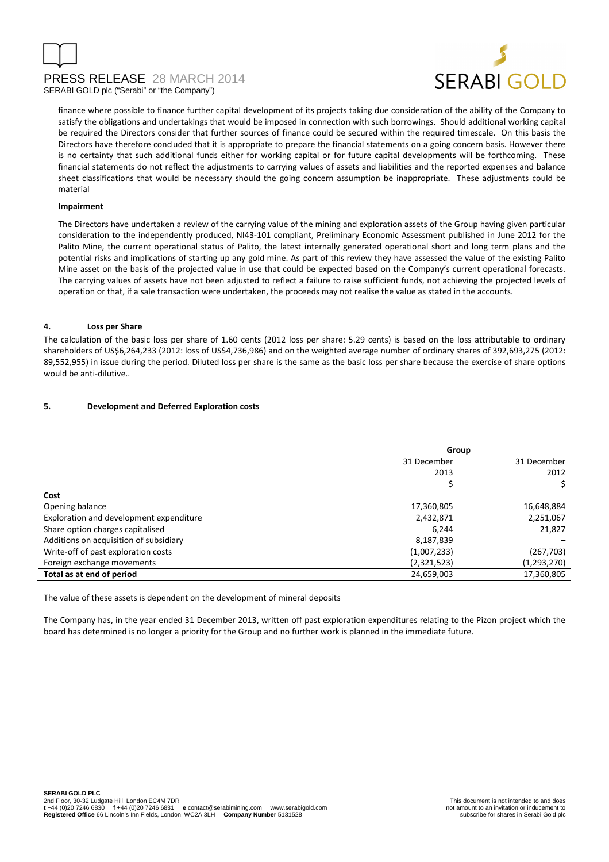

finance where possible to finance further capital development of its projects taking due consideration of the ability of the Company to satisfy the obligations and undertakings that would be imposed in connection with such borrowings. Should additional working capital be required the Directors consider that further sources of finance could be secured within the required timescale. On this basis the Directors have therefore concluded that it is appropriate to prepare the financial statements on a going concern basis. However there is no certainty that such additional funds either for working capital or for future capital developments will be forthcoming. These financial statements do not reflect the adjustments to carrying values of assets and liabilities and the reported expenses and balance sheet classifications that would be necessary should the going concern assumption be inappropriate. These adjustments could be material

# **Impairment**

The Directors have undertaken a review of the carrying value of the mining and exploration assets of the Group having given particular consideration to the independently produced, NI43-101 compliant, Preliminary Economic Assessment published in June 2012 for the Palito Mine, the current operational status of Palito, the latest internally generated operational short and long term plans and the potential risks and implications of starting up any gold mine. As part of this review they have assessed the value of the existing Palito Mine asset on the basis of the projected value in use that could be expected based on the Company's current operational forecasts. The carrying values of assets have not been adjusted to reflect a failure to raise sufficient funds, not achieving the projected levels of operation or that, if a sale transaction were undertaken, the proceeds may not realise the value as stated in the accounts.

# **4. Loss per Share**

The calculation of the basic loss per share of 1.60 cents (2012 loss per share: 5.29 cents) is based on the loss attributable to ordinary shareholders of US\$6,264,233 (2012: loss of US\$4,736,986) and on the weighted average number of ordinary shares of 392,693,275 (2012: 89,552,955) in issue during the period. Diluted loss per share is the same as the basic loss per share because the exercise of share options would be anti-dilutive..

# **5. Development and Deferred Exploration costs**

|                                         | Group       |             |  |
|-----------------------------------------|-------------|-------------|--|
|                                         | 31 December | 31 December |  |
|                                         | 2013        | 2012        |  |
|                                         |             |             |  |
| Cost                                    |             |             |  |
| Opening balance                         | 17,360,805  | 16,648,884  |  |
| Exploration and development expenditure | 2,432,871   | 2,251,067   |  |
| Share option charges capitalised        | 6.244       | 21,827      |  |
| Additions on acquisition of subsidiary  | 8,187,839   |             |  |
| Write-off of past exploration costs     | (1,007,233) | (267, 703)  |  |
| Foreign exchange movements              | (2,321,523) | (1,293,270) |  |
| Total as at end of period               | 24,659,003  | 17,360,805  |  |

The value of these assets is dependent on the development of mineral deposits

The Company has, in the year ended 31 December 2013, written off past exploration expenditures relating to the Pizon project which the board has determined is no longer a priority for the Group and no further work is planned in the immediate future.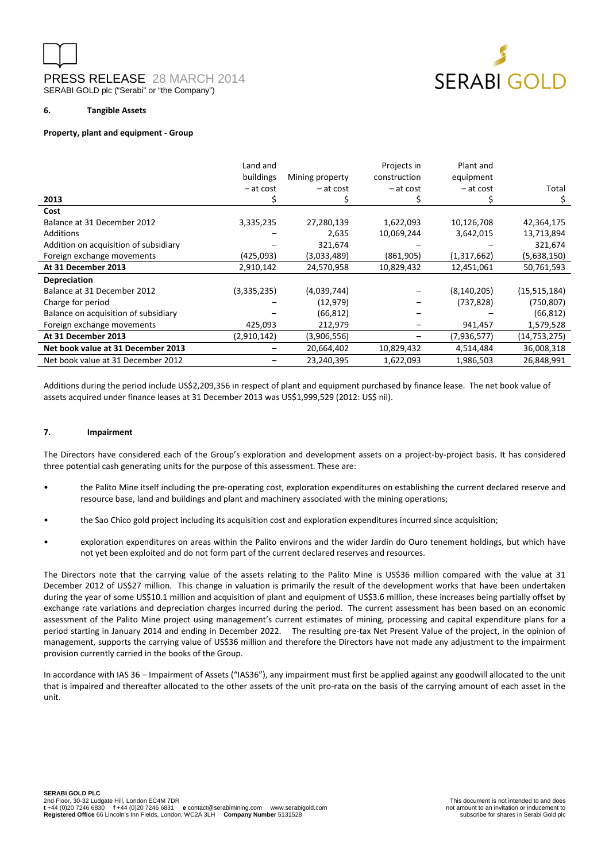



#### **6. Tangible Assets**

#### **Property, plant and equipment - Group**

|                                       | Land and    |                 | Projects in  | Plant and     |                |
|---------------------------------------|-------------|-----------------|--------------|---------------|----------------|
|                                       | buildings   | Mining property | construction | equipment     |                |
|                                       | $-$ at cost | $-$ at cost     | $-$ at cost  | $-$ at cost   | Total          |
| 2013                                  |             |                 |              |               |                |
| Cost                                  |             |                 |              |               |                |
| Balance at 31 December 2012           | 3,335,235   | 27,280,139      | 1,622,093    | 10,126,708    | 42,364,175     |
| <b>Additions</b>                      |             | 2,635           | 10,069,244   | 3,642,015     | 13,713,894     |
| Addition on acquisition of subsidiary |             | 321,674         |              |               | 321,674        |
| Foreign exchange movements            | (425,093)   | (3,033,489)     | (861,905)    | (1,317,662)   | (5,638,150)    |
| At 31 December 2013                   | 2,910,142   | 24,570,958      | 10,829,432   | 12,451,061    | 50,761,593     |
| <b>Depreciation</b>                   |             |                 |              |               |                |
| Balance at 31 December 2012           | (3,335,235) | (4,039,744)     |              | (8, 140, 205) | (15, 515, 184) |
| Charge for period                     |             | (12, 979)       |              | (737, 828)    | (750, 807)     |
| Balance on acquisition of subsidiary  |             | (66, 812)       |              |               | (66, 812)      |
| Foreign exchange movements            | 425,093     | 212,979         |              | 941,457       | 1,579,528      |
| At 31 December 2013                   | (2,910,142) | (3,906,556)     |              | (7,936,577)   | (14, 753, 275) |
| Net book value at 31 December 2013    |             | 20,664,402      | 10,829,432   | 4,514,484     | 36,008,318     |
| Net book value at 31 December 2012    |             | 23,240,395      | 1,622,093    | 1,986,503     | 26,848,991     |

Additions during the period include US\$2,209,356 in respect of plant and equipment purchased by finance lease. The net book value of assets acquired under finance leases at 31 December 2013 was US\$1,999,529 (2012: US\$ nil).

# **7. Impairment**

The Directors have considered each of the Group's exploration and development assets on a project-by-project basis. It has considered three potential cash generating units for the purpose of this assessment. These are:

- the Palito Mine itself including the pre-operating cost, exploration expenditures on establishing the current declared reserve and resource base, land and buildings and plant and machinery associated with the mining operations;
- the Sao Chico gold project including its acquisition cost and exploration expenditures incurred since acquisition;
- exploration expenditures on areas within the Palito environs and the wider Jardin do Ouro tenement holdings, but which have not yet been exploited and do not form part of the current declared reserves and resources.

The Directors note that the carrying value of the assets relating to the Palito Mine is US\$36 million compared with the value at 31 December 2012 of US\$27 million. This change in valuation is primarily the result of the development works that have been undertaken during the year of some US\$10.1 million and acquisition of plant and equipment of US\$3.6 million, these increases being partially offset by exchange rate variations and depreciation charges incurred during the period. The current assessment has been based on an economic assessment of the Palito Mine project using management's current estimates of mining, processing and capital expenditure plans for a period starting in January 2014 and ending in December 2022. The resulting pre-tax Net Present Value of the project, in the opinion of management, supports the carrying value of US\$36 million and therefore the Directors have not made any adjustment to the impairment provision currently carried in the books of the Group.

In accordance with IAS 36 – Impairment of Assets ("IAS36"), any impairment must first be applied against any goodwill allocated to the unit that is impaired and thereafter allocated to the other assets of the unit pro-rata on the basis of the carrying amount of each asset in the unit.